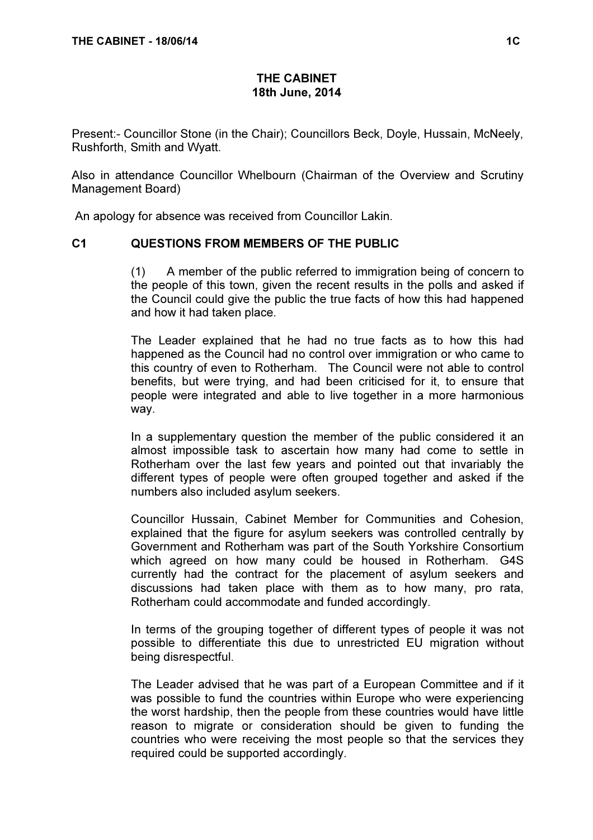## THE CABINET 18th June, 2014

Present:- Councillor Stone (in the Chair); Councillors Beck, Doyle, Hussain, McNeely, Rushforth, Smith and Wyatt.

Also in attendance Councillor Whelbourn (Chairman of the Overview and Scrutiny Management Board)

An apology for absence was received from Councillor Lakin.

#### C1 QUESTIONS FROM MEMBERS OF THE PUBLIC

 (1) A member of the public referred to immigration being of concern to the people of this town, given the recent results in the polls and asked if the Council could give the public the true facts of how this had happened and how it had taken place.

The Leader explained that he had no true facts as to how this had happened as the Council had no control over immigration or who came to this country of even to Rotherham. The Council were not able to control benefits, but were trying, and had been criticised for it, to ensure that people were integrated and able to live together in a more harmonious way.

In a supplementary question the member of the public considered it an almost impossible task to ascertain how many had come to settle in Rotherham over the last few years and pointed out that invariably the different types of people were often grouped together and asked if the numbers also included asylum seekers.

Councillor Hussain, Cabinet Member for Communities and Cohesion, explained that the figure for asylum seekers was controlled centrally by Government and Rotherham was part of the South Yorkshire Consortium which agreed on how many could be housed in Rotherham. G4S currently had the contract for the placement of asylum seekers and discussions had taken place with them as to how many, pro rata, Rotherham could accommodate and funded accordingly.

In terms of the grouping together of different types of people it was not possible to differentiate this due to unrestricted EU migration without being disrespectful.

The Leader advised that he was part of a European Committee and if it was possible to fund the countries within Europe who were experiencing the worst hardship, then the people from these countries would have little reason to migrate or consideration should be given to funding the countries who were receiving the most people so that the services they required could be supported accordingly.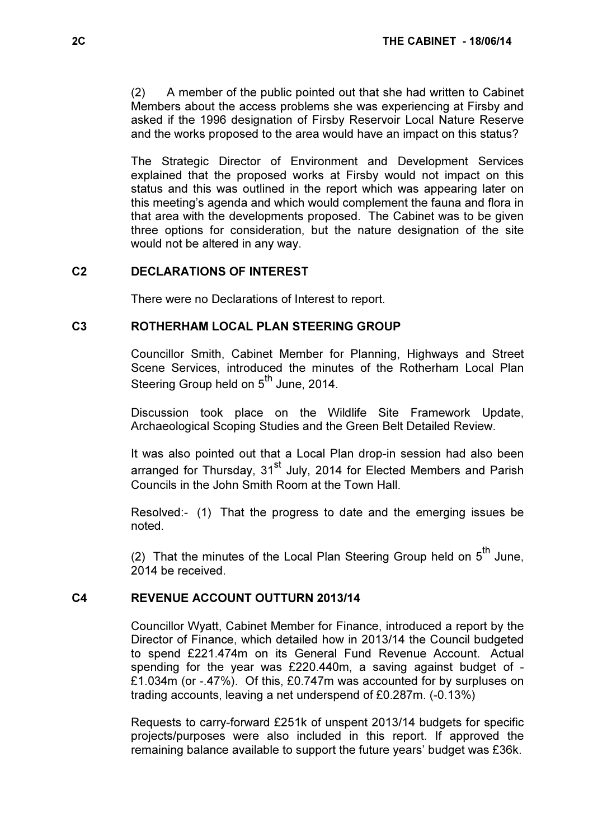(2) A member of the public pointed out that she had written to Cabinet Members about the access problems she was experiencing at Firsby and asked if the 1996 designation of Firsby Reservoir Local Nature Reserve and the works proposed to the area would have an impact on this status?

The Strategic Director of Environment and Development Services explained that the proposed works at Firsby would not impact on this status and this was outlined in the report which was appearing later on this meeting's agenda and which would complement the fauna and flora in that area with the developments proposed. The Cabinet was to be given three options for consideration, but the nature designation of the site would not be altered in any way.

# C2 DECLARATIONS OF INTEREST

There were no Declarations of Interest to report.

#### C3 ROTHERHAM LOCAL PLAN STEERING GROUP

 Councillor Smith, Cabinet Member for Planning, Highways and Street Scene Services, introduced the minutes of the Rotherham Local Plan Steering Group held on 5<sup>th</sup> June, 2014.

Discussion took place on the Wildlife Site Framework Update, Archaeological Scoping Studies and the Green Belt Detailed Review.

It was also pointed out that a Local Plan drop-in session had also been arranged for Thursday, 31<sup>st</sup> July, 2014 for Elected Members and Parish Councils in the John Smith Room at the Town Hall.

Resolved:- (1) That the progress to date and the emerging issues be noted.

(2) That the minutes of the Local Plan Steering Group held on  $5<sup>th</sup>$  June, 2014 be received.

#### C4 REVENUE ACCOUNT OUTTURN 2013/14

 Councillor Wyatt, Cabinet Member for Finance, introduced a report by the Director of Finance, which detailed how in 2013/14 the Council budgeted to spend £221.474m on its General Fund Revenue Account. Actual spending for the year was £220.440m, a saving against budget of - £1.034m (or -.47%). Of this, £0.747m was accounted for by surpluses on trading accounts, leaving a net underspend of £0.287m. (-0.13%)

Requests to carry-forward £251k of unspent 2013/14 budgets for specific projects/purposes were also included in this report. If approved the remaining balance available to support the future years' budget was £36k.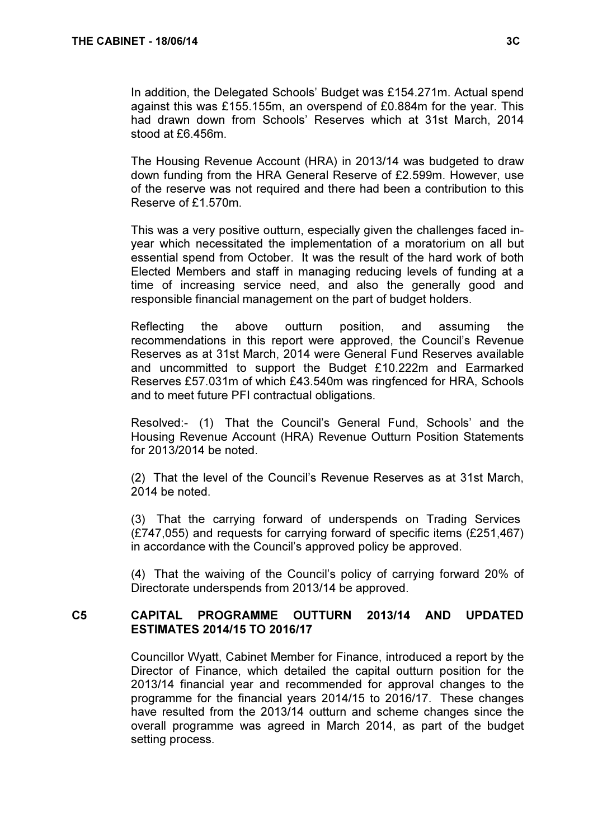In addition, the Delegated Schools' Budget was £154.271m. Actual spend against this was £155.155m, an overspend of £0.884m for the year. This had drawn down from Schools' Reserves which at 31st March, 2014 stood at £6.456m.

The Housing Revenue Account (HRA) in 2013/14 was budgeted to draw down funding from the HRA General Reserve of £2.599m. However, use of the reserve was not required and there had been a contribution to this Reserve of £1.570m.

This was a very positive outturn, especially given the challenges faced inyear which necessitated the implementation of a moratorium on all but essential spend from October. It was the result of the hard work of both Elected Members and staff in managing reducing levels of funding at a time of increasing service need, and also the generally good and responsible financial management on the part of budget holders.

Reflecting the above outturn position, and assuming the recommendations in this report were approved, the Council's Revenue Reserves as at 31st March, 2014 were General Fund Reserves available and uncommitted to support the Budget £10.222m and Earmarked Reserves £57.031m of which £43.540m was ringfenced for HRA, Schools and to meet future PFI contractual obligations.

Resolved:- (1) That the Council's General Fund, Schools' and the Housing Revenue Account (HRA) Revenue Outturn Position Statements for 2013/2014 be noted.

(2) That the level of the Council's Revenue Reserves as at 31st March, 2014 be noted.

(3) That the carrying forward of underspends on Trading Services (£747,055) and requests for carrying forward of specific items (£251,467) in accordance with the Council's approved policy be approved.

(4) That the waiving of the Council's policy of carrying forward 20% of Directorate underspends from 2013/14 be approved.

# C5 CAPITAL PROGRAMME OUTTURN 2013/14 AND UPDATED ESTIMATES 2014/15 TO 2016/17

 Councillor Wyatt, Cabinet Member for Finance, introduced a report by the Director of Finance, which detailed the capital outturn position for the 2013/14 financial year and recommended for approval changes to the programme for the financial years 2014/15 to 2016/17. These changes have resulted from the 2013/14 outturn and scheme changes since the overall programme was agreed in March 2014, as part of the budget setting process.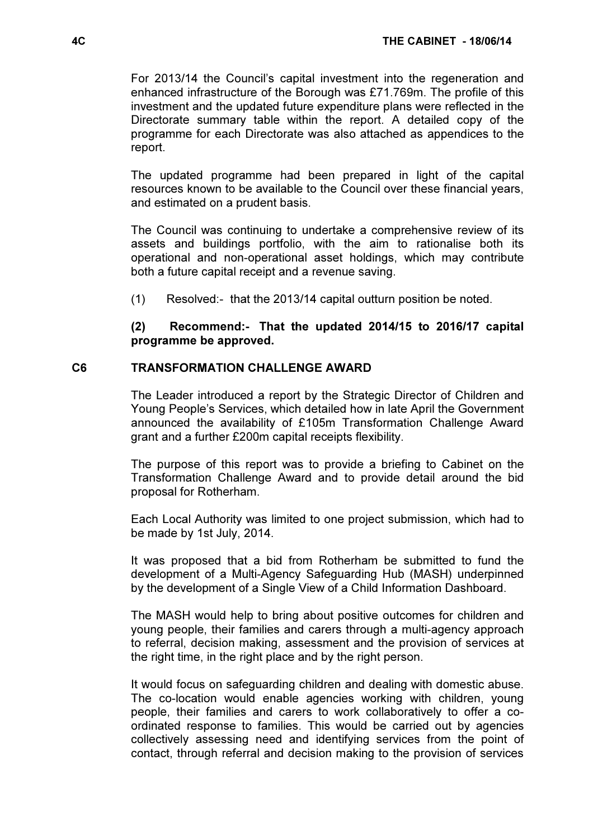For 2013/14 the Council's capital investment into the regeneration and enhanced infrastructure of the Borough was £71.769m. The profile of this investment and the updated future expenditure plans were reflected in the Directorate summary table within the report. A detailed copy of the programme for each Directorate was also attached as appendices to the report.

The updated programme had been prepared in light of the capital resources known to be available to the Council over these financial years, and estimated on a prudent basis.

The Council was continuing to undertake a comprehensive review of its assets and buildings portfolio, with the aim to rationalise both its operational and non-operational asset holdings, which may contribute both a future capital receipt and a revenue saving.

(1) Resolved:- that the 2013/14 capital outturn position be noted.

### (2) Recommend:- That the updated 2014/15 to 2016/17 capital programme be approved.

#### C6 TRANSFORMATION CHALLENGE AWARD

 The Leader introduced a report by the Strategic Director of Children and Young People's Services, which detailed how in late April the Government announced the availability of £105m Transformation Challenge Award grant and a further £200m capital receipts flexibility.

The purpose of this report was to provide a briefing to Cabinet on the Transformation Challenge Award and to provide detail around the bid proposal for Rotherham.

Each Local Authority was limited to one project submission, which had to be made by 1st July, 2014.

It was proposed that a bid from Rotherham be submitted to fund the development of a Multi-Agency Safeguarding Hub (MASH) underpinned by the development of a Single View of a Child Information Dashboard.

The MASH would help to bring about positive outcomes for children and young people, their families and carers through a multi-agency approach to referral, decision making, assessment and the provision of services at the right time, in the right place and by the right person.

It would focus on safeguarding children and dealing with domestic abuse. The co-location would enable agencies working with children, young people, their families and carers to work collaboratively to offer a coordinated response to families. This would be carried out by agencies collectively assessing need and identifying services from the point of contact, through referral and decision making to the provision of services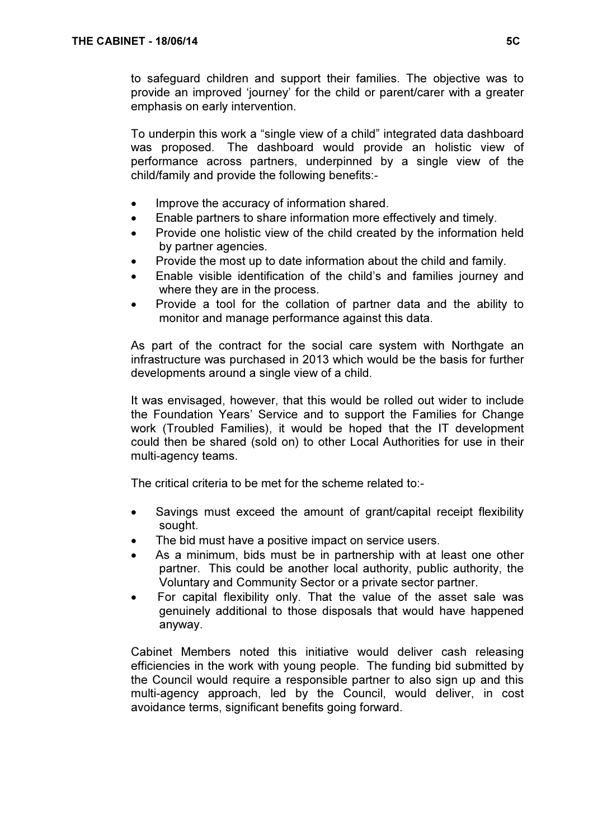to safeguard children and support their families. The objective was to provide an improved 'journey' for the child or parent/carer with a greater emphasis on early intervention.

To underpin this work a "single view of a child" integrated data dashboard was proposed. The dashboard would provide an holistic view of performance across partners, underpinned by a single view of the child/family and provide the following benefits:-

- Improve the accuracy of information shared.
- Enable partners to share information more effectively and timely.
- Provide one holistic view of the child created by the information held by partner agencies.
- Provide the most up to date information about the child and family.
- Enable visible identification of the child's and families journey and where they are in the process.
- Provide a tool for the collation of partner data and the ability to monitor and manage performance against this data.

As part of the contract for the social care system with Northgate an infrastructure was purchased in 2013 which would be the basis for further developments around a single view of a child.

It was envisaged, however, that this would be rolled out wider to include the Foundation Years' Service and to support the Families for Change work (Troubled Families), it would be hoped that the IT development could then be shared (sold on) to other Local Authorities for use in their multi-agency teams.

The critical criteria to be met for the scheme related to:-

- Savings must exceed the amount of grant/capital receipt flexibility sought.
- The bid must have a positive impact on service users.
- As a minimum, bids must be in partnership with at least one other partner. This could be another local authority, public authority, the Voluntary and Community Sector or a private sector partner.
- For capital flexibility only. That the value of the asset sale was genuinely additional to those disposals that would have happened anyway.

Cabinet Members noted this initiative would deliver cash releasing efficiencies in the work with young people. The funding bid submitted by the Council would require a responsible partner to also sign up and this multi-agency approach, led by the Council, would deliver, in cost avoidance terms, significant benefits going forward.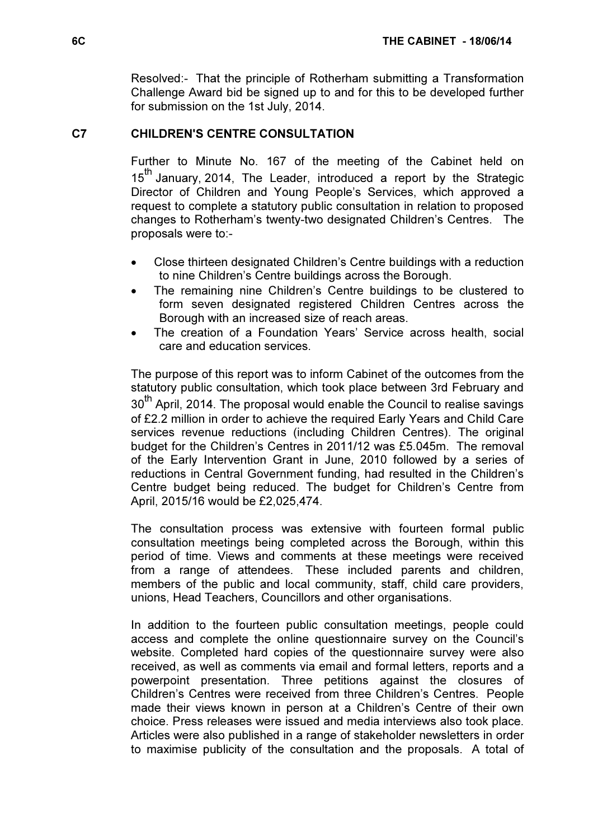Resolved:- That the principle of Rotherham submitting a Transformation Challenge Award bid be signed up to and for this to be developed further for submission on the 1st July, 2014.

# C7 CHILDREN'S CENTRE CONSULTATION

 Further to Minute No. 167 of the meeting of the Cabinet held on 15<sup>th</sup> January, 2014, The Leader, introduced a report by the Strategic Director of Children and Young People's Services, which approved a request to complete a statutory public consultation in relation to proposed changes to Rotherham's twenty-two designated Children's Centres. The proposals were to:-

- Close thirteen designated Children's Centre buildings with a reduction to nine Children's Centre buildings across the Borough.
- The remaining nine Children's Centre buildings to be clustered to form seven designated registered Children Centres across the Borough with an increased size of reach areas.
- The creation of a Foundation Years' Service across health, social care and education services.

The purpose of this report was to inform Cabinet of the outcomes from the statutory public consultation, which took place between 3rd February and 30<sup>th</sup> April, 2014. The proposal would enable the Council to realise savings of £2.2 million in order to achieve the required Early Years and Child Care services revenue reductions (including Children Centres). The original budget for the Children's Centres in 2011/12 was £5.045m. The removal of the Early Intervention Grant in June, 2010 followed by a series of reductions in Central Government funding, had resulted in the Children's Centre budget being reduced. The budget for Children's Centre from April, 2015/16 would be £2,025,474.

The consultation process was extensive with fourteen formal public consultation meetings being completed across the Borough, within this period of time. Views and comments at these meetings were received from a range of attendees. These included parents and children, members of the public and local community, staff, child care providers, unions, Head Teachers, Councillors and other organisations.

In addition to the fourteen public consultation meetings, people could access and complete the online questionnaire survey on the Council's website. Completed hard copies of the questionnaire survey were also received, as well as comments via email and formal letters, reports and a powerpoint presentation. Three petitions against the closures of Children's Centres were received from three Children's Centres. People made their views known in person at a Children's Centre of their own choice. Press releases were issued and media interviews also took place. Articles were also published in a range of stakeholder newsletters in order to maximise publicity of the consultation and the proposals. A total of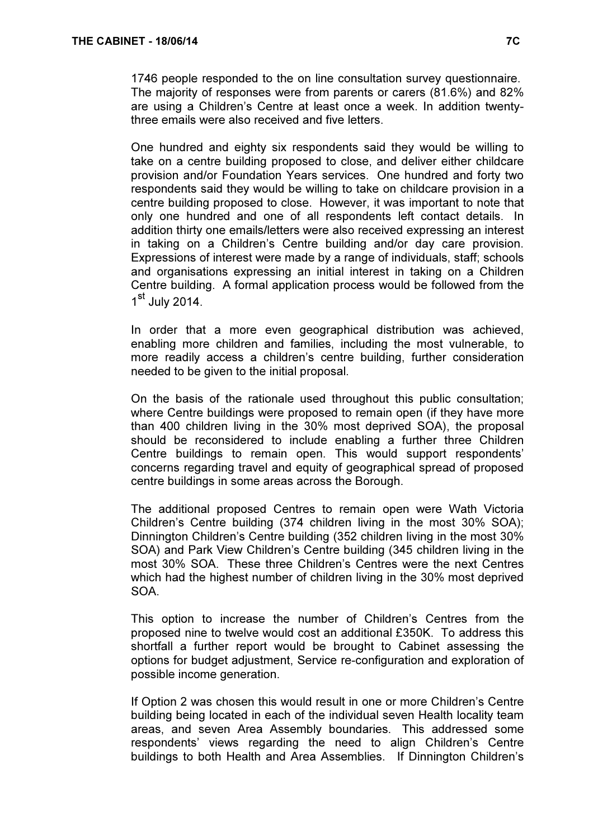1746 people responded to the on line consultation survey questionnaire. The majority of responses were from parents or carers (81.6%) and 82% are using a Children's Centre at least once a week. In addition twentythree emails were also received and five letters.

One hundred and eighty six respondents said they would be willing to take on a centre building proposed to close, and deliver either childcare provision and/or Foundation Years services. One hundred and forty two respondents said they would be willing to take on childcare provision in a centre building proposed to close. However, it was important to note that only one hundred and one of all respondents left contact details. In addition thirty one emails/letters were also received expressing an interest in taking on a Children's Centre building and/or day care provision. Expressions of interest were made by a range of individuals, staff; schools and organisations expressing an initial interest in taking on a Children Centre building. A formal application process would be followed from the 1<sup>st</sup> July 2014.

In order that a more even geographical distribution was achieved, enabling more children and families, including the most vulnerable, to more readily access a children's centre building, further consideration needed to be given to the initial proposal.

On the basis of the rationale used throughout this public consultation; where Centre buildings were proposed to remain open (if they have more than 400 children living in the 30% most deprived SOA), the proposal should be reconsidered to include enabling a further three Children Centre buildings to remain open. This would support respondents' concerns regarding travel and equity of geographical spread of proposed centre buildings in some areas across the Borough.

The additional proposed Centres to remain open were Wath Victoria Children's Centre building (374 children living in the most 30% SOA); Dinnington Children's Centre building (352 children living in the most 30% SOA) and Park View Children's Centre building (345 children living in the most 30% SOA. These three Children's Centres were the next Centres which had the highest number of children living in the 30% most deprived SOA.

This option to increase the number of Children's Centres from the proposed nine to twelve would cost an additional £350K. To address this shortfall a further report would be brought to Cabinet assessing the options for budget adjustment, Service re-configuration and exploration of possible income generation.

If Option 2 was chosen this would result in one or more Children's Centre building being located in each of the individual seven Health locality team areas, and seven Area Assembly boundaries. This addressed some respondents' views regarding the need to align Children's Centre buildings to both Health and Area Assemblies. If Dinnington Children's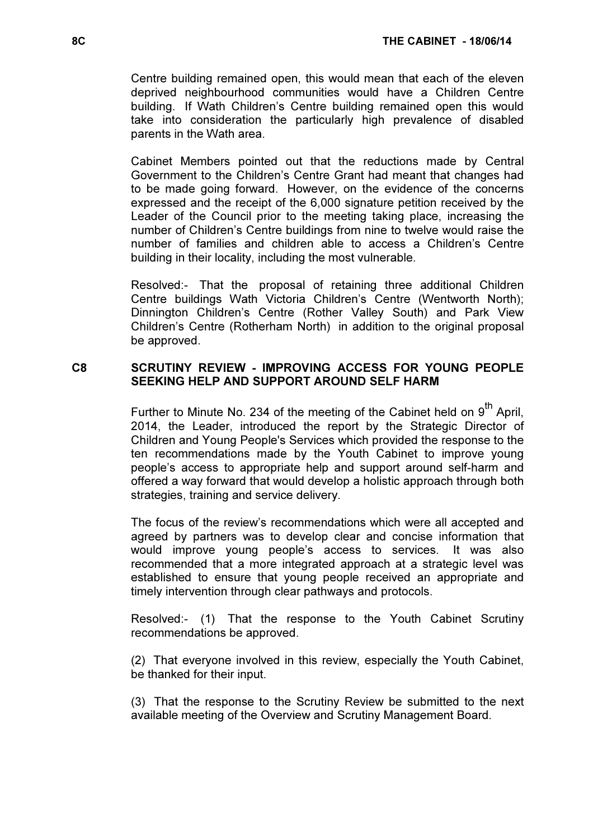Centre building remained open, this would mean that each of the eleven deprived neighbourhood communities would have a Children Centre building. If Wath Children's Centre building remained open this would take into consideration the particularly high prevalence of disabled parents in the Wath area.

Cabinet Members pointed out that the reductions made by Central Government to the Children's Centre Grant had meant that changes had to be made going forward. However, on the evidence of the concerns expressed and the receipt of the 6,000 signature petition received by the Leader of the Council prior to the meeting taking place, increasing the number of Children's Centre buildings from nine to twelve would raise the number of families and children able to access a Children's Centre building in their locality, including the most vulnerable.

Resolved:- That the proposal of retaining three additional Children Centre buildings Wath Victoria Children's Centre (Wentworth North); Dinnington Children's Centre (Rother Valley South) and Park View Children's Centre (Rotherham North) in addition to the original proposal be approved.

# C8 SCRUTINY REVIEW - IMPROVING ACCESS FOR YOUNG PEOPLE SEEKING HELP AND SUPPORT AROUND SELF HARM

Further to Minute No. 234 of the meeting of the Cabinet held on  $9<sup>th</sup>$  April, 2014, the Leader, introduced the report by the Strategic Director of Children and Young People's Services which provided the response to the ten recommendations made by the Youth Cabinet to improve young people's access to appropriate help and support around self-harm and offered a way forward that would develop a holistic approach through both strategies, training and service delivery.

The focus of the review's recommendations which were all accepted and agreed by partners was to develop clear and concise information that would improve young people's access to services. It was also recommended that a more integrated approach at a strategic level was established to ensure that young people received an appropriate and timely intervention through clear pathways and protocols.

Resolved:- (1) That the response to the Youth Cabinet Scrutiny recommendations be approved.

(2) That everyone involved in this review, especially the Youth Cabinet, be thanked for their input.

(3) That the response to the Scrutiny Review be submitted to the next available meeting of the Overview and Scrutiny Management Board.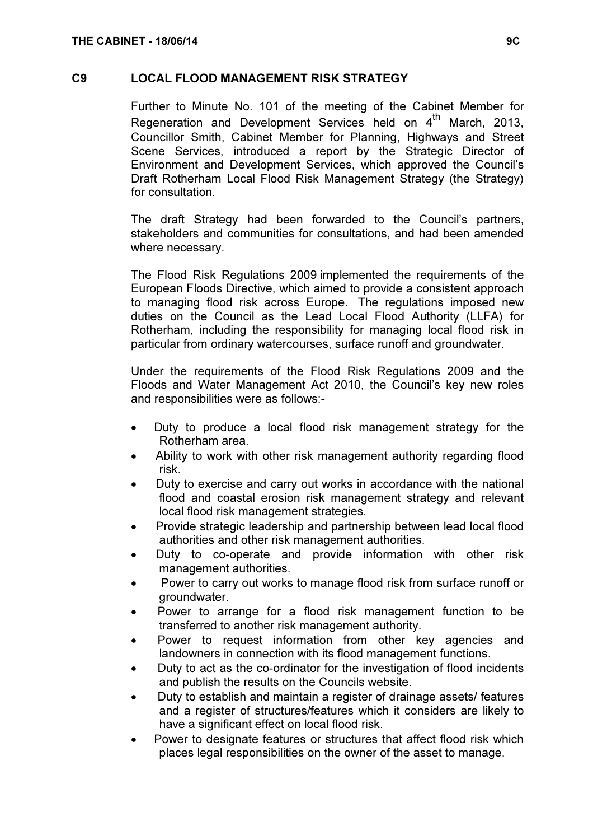#### C9 LOCAL FLOOD MANAGEMENT RISK STRATEGY

 Further to Minute No. 101 of the meeting of the Cabinet Member for Regeneration and Development Services held on  $4^{\text{th}}$  March, 2013, Councillor Smith, Cabinet Member for Planning, Highways and Street Scene Services, introduced a report by the Strategic Director of Environment and Development Services, which approved the Council's Draft Rotherham Local Flood Risk Management Strategy (the Strategy) for consultation.

The draft Strategy had been forwarded to the Council's partners, stakeholders and communities for consultations, and had been amended where necessary.

The Flood Risk Regulations 2009 implemented the requirements of the European Floods Directive, which aimed to provide a consistent approach to managing flood risk across Europe. The regulations imposed new duties on the Council as the Lead Local Flood Authority (LLFA) for Rotherham, including the responsibility for managing local flood risk in particular from ordinary watercourses, surface runoff and groundwater.

Under the requirements of the Flood Risk Regulations 2009 and the Floods and Water Management Act 2010, the Council's key new roles and responsibilities were as follows:-

- Duty to produce a local flood risk management strategy for the Rotherham area.
- Ability to work with other risk management authority regarding flood risk.
- Duty to exercise and carry out works in accordance with the national flood and coastal erosion risk management strategy and relevant local flood risk management strategies.
- Provide strategic leadership and partnership between lead local flood authorities and other risk management authorities.
- Duty to co-operate and provide information with other risk management authorities.
- Power to carry out works to manage flood risk from surface runoff or groundwater.
- Power to arrange for a flood risk management function to be transferred to another risk management authority.
- Power to request information from other key agencies and landowners in connection with its flood management functions.
- Duty to act as the co-ordinator for the investigation of flood incidents and publish the results on the Councils website.
- Duty to establish and maintain a register of drainage assets/ features and a register of structures/features which it considers are likely to have a significant effect on local flood risk.
- Power to designate features or structures that affect flood risk which places legal responsibilities on the owner of the asset to manage.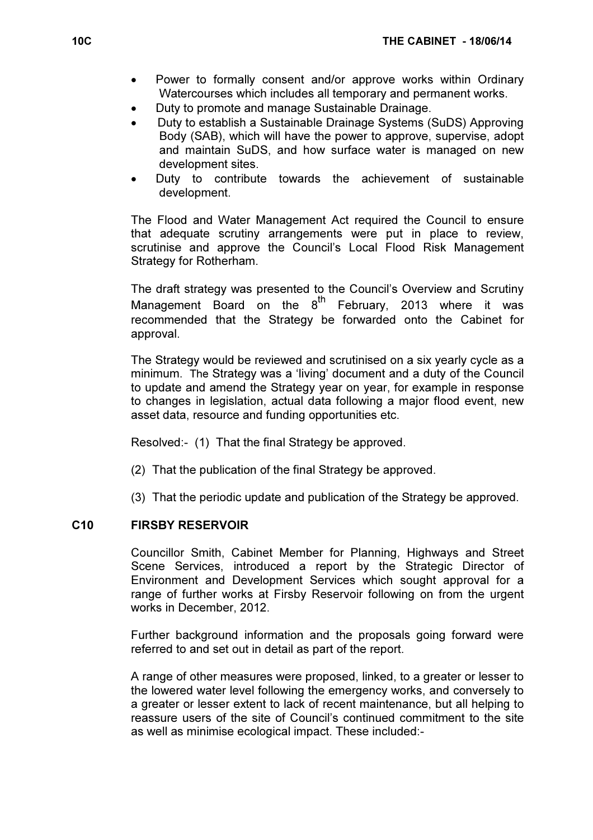- Power to formally consent and/or approve works within Ordinary Watercourses which includes all temporary and permanent works.
- Duty to promote and manage Sustainable Drainage.
- Duty to establish a Sustainable Drainage Systems (SuDS) Approving Body (SAB), which will have the power to approve, supervise, adopt and maintain SuDS, and how surface water is managed on new development sites.
- Duty to contribute towards the achievement of sustainable development.

The Flood and Water Management Act required the Council to ensure that adequate scrutiny arrangements were put in place to review, scrutinise and approve the Council's Local Flood Risk Management Strategy for Rotherham.

The draft strategy was presented to the Council's Overview and Scrutiny Management Board on the  $8^{th}$  February, 2013 where it was recommended that the Strategy be forwarded onto the Cabinet for approval.

The Strategy would be reviewed and scrutinised on a six yearly cycle as a minimum. The Strategy was a 'living' document and a duty of the Council to update and amend the Strategy year on year, for example in response to changes in legislation, actual data following a major flood event, new asset data, resource and funding opportunities etc.

Resolved:- (1) That the final Strategy be approved.

- (2) That the publication of the final Strategy be approved.
- (3) That the periodic update and publication of the Strategy be approved.

#### C10 FIRSBY RESERVOIR

 Councillor Smith, Cabinet Member for Planning, Highways and Street Scene Services, introduced a report by the Strategic Director of Environment and Development Services which sought approval for a range of further works at Firsby Reservoir following on from the urgent works in December, 2012.

Further background information and the proposals going forward were referred to and set out in detail as part of the report.

A range of other measures were proposed, linked, to a greater or lesser to the lowered water level following the emergency works, and conversely to a greater or lesser extent to lack of recent maintenance, but all helping to reassure users of the site of Council's continued commitment to the site as well as minimise ecological impact. These included:-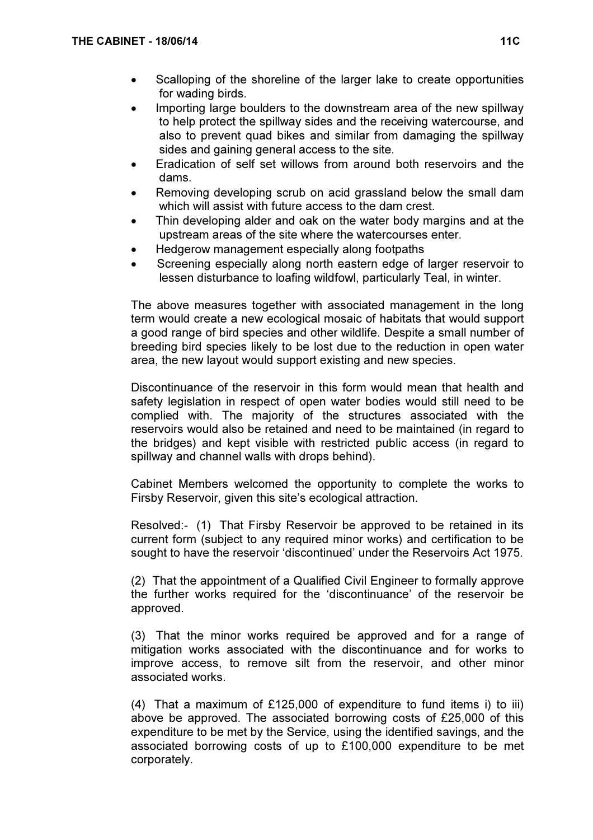- Scalloping of the shoreline of the larger lake to create opportunities for wading birds.
- Importing large boulders to the downstream area of the new spillway to help protect the spillway sides and the receiving watercourse, and also to prevent quad bikes and similar from damaging the spillway sides and gaining general access to the site.
- Eradication of self set willows from around both reservoirs and the dams.
- Removing developing scrub on acid grassland below the small dam which will assist with future access to the dam crest.
- Thin developing alder and oak on the water body margins and at the upstream areas of the site where the watercourses enter.
- Hedgerow management especially along footpaths
- Screening especially along north eastern edge of larger reservoir to lessen disturbance to loafing wildfowl, particularly Teal, in winter.

The above measures together with associated management in the long term would create a new ecological mosaic of habitats that would support a good range of bird species and other wildlife. Despite a small number of breeding bird species likely to be lost due to the reduction in open water area, the new layout would support existing and new species.

Discontinuance of the reservoir in this form would mean that health and safety legislation in respect of open water bodies would still need to be complied with. The majority of the structures associated with the reservoirs would also be retained and need to be maintained (in regard to the bridges) and kept visible with restricted public access (in regard to spillway and channel walls with drops behind).

Cabinet Members welcomed the opportunity to complete the works to Firsby Reservoir, given this site's ecological attraction.

Resolved:- (1) That Firsby Reservoir be approved to be retained in its current form (subject to any required minor works) and certification to be sought to have the reservoir 'discontinued' under the Reservoirs Act 1975.

(2) That the appointment of a Qualified Civil Engineer to formally approve the further works required for the 'discontinuance' of the reservoir be approved.

(3) That the minor works required be approved and for a range of mitigation works associated with the discontinuance and for works to improve access, to remove silt from the reservoir, and other minor associated works.

(4) That a maximum of £125,000 of expenditure to fund items i) to iii) above be approved. The associated borrowing costs of £25,000 of this expenditure to be met by the Service, using the identified savings, and the associated borrowing costs of up to £100,000 expenditure to be met corporately.